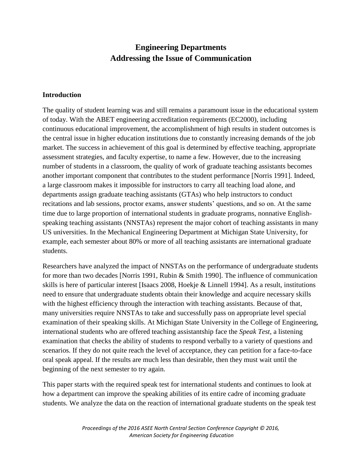# **Engineering Departments Addressing the Issue of Communication**

#### **Introduction**

The quality of student learning was and still remains a paramount issue in the educational system of today. With the ABET engineering accreditation requirements (EC2000), including continuous educational improvement, the accomplishment of high results in student outcomes is the central issue in higher education institutions due to constantly increasing demands of the job market. The success in achievement of this goal is determined by effective teaching, appropriate assessment strategies, and faculty expertise, to name a few. However, due to the increasing number of students in a classroom, the quality of work of graduate teaching assistants becomes another important component that contributes to the student performance [Norris 1991]. Indeed, a large classroom makes it impossible for instructors to carry all teaching load alone, and departments assign graduate teaching assistants (GTAs) who help instructors to conduct recitations and lab sessions, proctor exams, answer students' questions, and so on. At the same time due to large proportion of international students in graduate programs, nonnative Englishspeaking teaching assistants (NNSTAs) represent the major cohort of teaching assistants in many US universities. In the Mechanical Engineering Department at Michigan State University, for example, each semester about 80% or more of all teaching assistants are international graduate students.

Researchers have analyzed the impact of NNSTAs on the performance of undergraduate students for more than two decades [Norris 1991, Rubin & Smith 1990]. The influence of communication skills is here of particular interest [Isaacs 2008, Hoekje & Linnell 1994]. As a result, institutions need to ensure that undergraduate students obtain their knowledge and acquire necessary skills with the highest efficiency through the interaction with teaching assistants. Because of that, many universities require NNSTAs to take and successfully pass on appropriate level special examination of their speaking skills. At Michigan State University in the College of Engineering, international students who are offered teaching assistantship face the *Speak Test,* a listening examination that checks the ability of students to respond verbally to a variety of questions and scenarios. If they do not quite reach the level of acceptance, they can petition for a face-to-face oral speak appeal. If the results are much less than desirable, then they must wait until the beginning of the next semester to try again.

This paper starts with the required speak test for international students and continues to look at how a department can improve the speaking abilities of its entire cadre of incoming graduate students. We analyze the data on the reaction of international graduate students on the speak test

> *Proceedings of the 2016 ASEE North Central Section Conference Copyright © 2016, American Society for Engineering Education*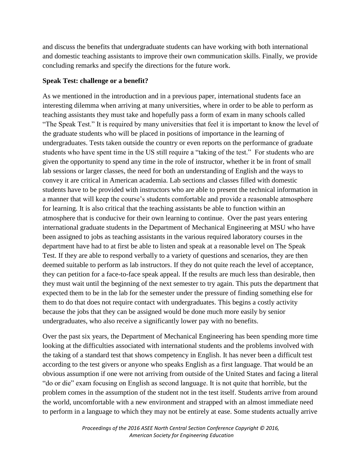and discuss the benefits that undergraduate students can have working with both international and domestic teaching assistants to improve their own communication skills. Finally, we provide concluding remarks and specify the directions for the future work.

#### **Speak Test: challenge or a benefit?**

As we mentioned in the introduction and in a previous paper, international students face an interesting dilemma when arriving at many universities, where in order to be able to perform as teaching assistants they must take and hopefully pass a form of exam in many schools called "The Speak Test." It is required by many universities that feel it is important to know the level of the graduate students who will be placed in positions of importance in the learning of undergraduates. Tests taken outside the country or even reports on the performance of graduate students who have spent time in the US still require a "taking of the test." For students who are given the opportunity to spend any time in the role of instructor, whether it be in front of small lab sessions or larger classes, the need for both an understanding of English and the ways to convey it are critical in American academia. Lab sections and classes filled with domestic students have to be provided with instructors who are able to present the technical information in a manner that will keep the course's students comfortable and provide a reasonable atmosphere for learning. It is also critical that the teaching assistants be able to function within an atmosphere that is conducive for their own learning to continue. Over the past years entering international graduate students in the Department of Mechanical Engineering at MSU who have been assigned to jobs as teaching assistants in the various required laboratory courses in the department have had to at first be able to listen and speak at a reasonable level on The Speak Test. If they are able to respond verbally to a variety of questions and scenarios, they are then deemed suitable to perform as lab instructors. If they do not quite reach the level of acceptance, they can petition for a face-to-face speak appeal. If the results are much less than desirable, then they must wait until the beginning of the next semester to try again. This puts the department that expected them to be in the lab for the semester under the pressure of finding something else for them to do that does not require contact with undergraduates. This begins a costly activity because the jobs that they can be assigned would be done much more easily by senior undergraduates, who also receive a significantly lower pay with no benefits.

Over the past six years, the Department of Mechanical Engineering has been spending more time looking at the difficulties associated with international students and the problems involved with the taking of a standard test that shows competency in English. It has never been a difficult test according to the test givers or anyone who speaks English as a first language. That would be an obvious assumption if one were not arriving from outside of the United States and facing a literal "do or die" exam focusing on English as second language. It is not quite that horrible, but the problem comes in the assumption of the student not in the test itself. Students arrive from around the world, uncomfortable with a new environment and strapped with an almost immediate need to perform in a language to which they may not be entirely at ease. Some students actually arrive

> *Proceedings of the 2016 ASEE North Central Section Conference Copyright © 2016, American Society for Engineering Education*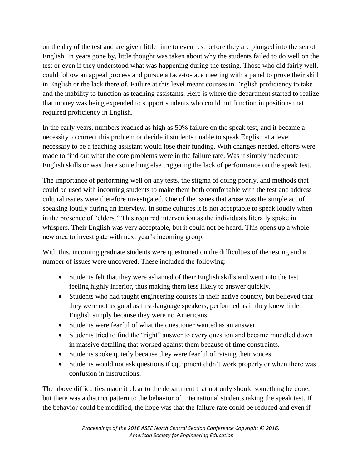on the day of the test and are given little time to even rest before they are plunged into the sea of English. In years gone by, little thought was taken about why the students failed to do well on the test or even if they understood what was happening during the testing. Those who did fairly well, could follow an appeal process and pursue a face-to-face meeting with a panel to prove their skill in English or the lack there of. Failure at this level meant courses in English proficiency to take and the inability to function as teaching assistants. Here is where the department started to realize that money was being expended to support students who could not function in positions that required proficiency in English.

In the early years, numbers reached as high as 50% failure on the speak test, and it became a necessity to correct this problem or decide it students unable to speak English at a level necessary to be a teaching assistant would lose their funding. With changes needed, efforts were made to find out what the core problems were in the failure rate. Was it simply inadequate English skills or was there something else triggering the lack of performance on the speak test.

The importance of performing well on any tests, the stigma of doing poorly, and methods that could be used with incoming students to make them both comfortable with the test and address cultural issues were therefore investigated. One of the issues that arose was the simple act of speaking loudly during an interview. In some cultures it is not acceptable to speak loudly when in the presence of "elders." This required intervention as the individuals literally spoke in whispers. Their English was very acceptable, but it could not be heard. This opens up a whole new area to investigate with next year's incoming group.

With this, incoming graduate students were questioned on the difficulties of the testing and a number of issues were uncovered. These included the following:

- Students felt that they were ashamed of their English skills and went into the test feeling highly inferior, thus making them less likely to answer quickly.
- Students who had taught engineering courses in their native country, but believed that they were not as good as first-language speakers, performed as if they knew little English simply because they were no Americans.
- Students were fearful of what the questioner wanted as an answer.
- Students tried to find the "right" answer to every question and became muddled down in massive detailing that worked against them because of time constraints.
- Students spoke quietly because they were fearful of raising their voices.
- Students would not ask questions if equipment didn't work properly or when there was confusion in instructions.

The above difficulties made it clear to the department that not only should something be done, but there was a distinct pattern to the behavior of international students taking the speak test. If the behavior could be modified, the hope was that the failure rate could be reduced and even if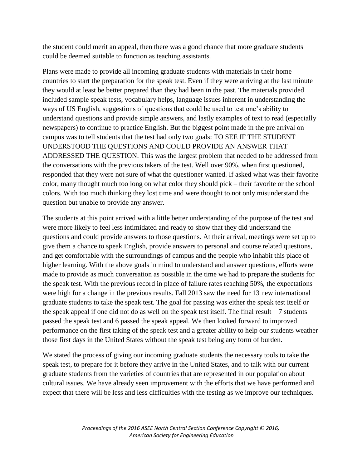the student could merit an appeal, then there was a good chance that more graduate students could be deemed suitable to function as teaching assistants.

Plans were made to provide all incoming graduate students with materials in their home countries to start the preparation for the speak test. Even if they were arriving at the last minute they would at least be better prepared than they had been in the past. The materials provided included sample speak tests, vocabulary helps, language issues inherent in understanding the ways of US English, suggestions of questions that could be used to test one's ability to understand questions and provide simple answers, and lastly examples of text to read (especially newspapers) to continue to practice English. But the biggest point made in the pre arrival on campus was to tell students that the test had only two goals: TO SEE IF THE STUDENT UNDERSTOOD THE QUESTIONS AND COULD PROVIDE AN ANSWER THAT ADDRESSED THE QUESTION. This was the largest problem that needed to be addressed from the conversations with the previous takers of the test. Well over 90%, when first questioned, responded that they were not sure of what the questioner wanted. If asked what was their favorite color, many thought much too long on what color they should pick – their favorite or the school colors. With too much thinking they lost time and were thought to not only misunderstand the question but unable to provide any answer.

The students at this point arrived with a little better understanding of the purpose of the test and were more likely to feel less intimidated and ready to show that they did understand the questions and could provide answers to those questions. At their arrival, meetings were set up to give them a chance to speak English, provide answers to personal and course related questions, and get comfortable with the surroundings of campus and the people who inhabit this place of higher learning. With the above goals in mind to understand and answer questions, efforts were made to provide as much conversation as possible in the time we had to prepare the students for the speak test. With the previous record in place of failure rates reaching 50%, the expectations were high for a change in the previous results. Fall 2013 saw the need for 13 new international graduate students to take the speak test. The goal for passing was either the speak test itself or the speak appeal if one did not do as well on the speak test itself. The final result  $-7$  students passed the speak test and 6 passed the speak appeal. We then looked forward to improved performance on the first taking of the speak test and a greater ability to help our students weather those first days in the United States without the speak test being any form of burden.

We stated the process of giving our incoming graduate students the necessary tools to take the speak test, to prepare for it before they arrive in the United States, and to talk with our current graduate students from the varieties of countries that are represented in our population about cultural issues. We have already seen improvement with the efforts that we have performed and expect that there will be less and less difficulties with the testing as we improve our techniques.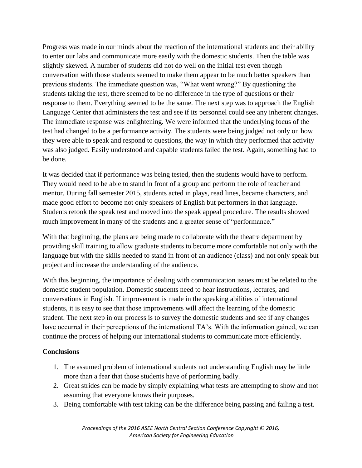Progress was made in our minds about the reaction of the international students and their ability to enter our labs and communicate more easily with the domestic students. Then the table was slightly skewed. A number of students did not do well on the initial test even though conversation with those students seemed to make them appear to be much better speakers than previous students. The immediate question was, "What went wrong?" By questioning the students taking the test, there seemed to be no difference in the type of questions or their response to them. Everything seemed to be the same. The next step was to approach the English Language Center that administers the test and see if its personnel could see any inherent changes. The immediate response was enlightening. We were informed that the underlying focus of the test had changed to be a performance activity. The students were being judged not only on how they were able to speak and respond to questions, the way in which they performed that activity was also judged. Easily understood and capable students failed the test. Again, something had to be done.

It was decided that if performance was being tested, then the students would have to perform. They would need to be able to stand in front of a group and perform the role of teacher and mentor. During fall semester 2015, students acted in plays, read lines, became characters, and made good effort to become not only speakers of English but performers in that language. Students retook the speak test and moved into the speak appeal procedure. The results showed much improvement in many of the students and a greater sense of "performance."

With that beginning, the plans are being made to collaborate with the theatre department by providing skill training to allow graduate students to become more comfortable not only with the language but with the skills needed to stand in front of an audience (class) and not only speak but project and increase the understanding of the audience.

With this beginning, the importance of dealing with communication issues must be related to the domestic student population. Domestic students need to hear instructions, lectures, and conversations in English. If improvement is made in the speaking abilities of international students, it is easy to see that those improvements will affect the learning of the domestic student. The next step in our process is to survey the domestic students and see if any changes have occurred in their perceptions of the international TA's. With the information gained, we can continue the process of helping our international students to communicate more efficiently.

### **Conclusions**

- 1. The assumed problem of international students not understanding English may be little more than a fear that those students have of performing badly.
- 2. Great strides can be made by simply explaining what tests are attempting to show and not assuming that everyone knows their purposes.
- 3. Being comfortable with test taking can be the difference being passing and failing a test.